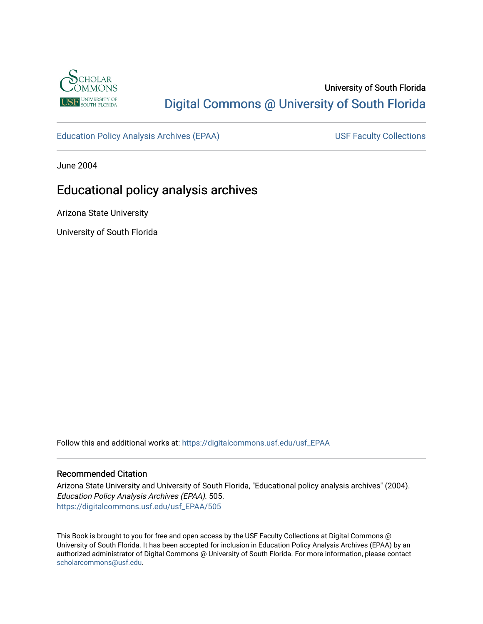

## University of South Florida [Digital Commons @ University of South Florida](https://digitalcommons.usf.edu/)

[Education Policy Analysis Archives \(EPAA\)](https://digitalcommons.usf.edu/usf_EPAA) USF Faculty Collections

June 2004

# Educational policy analysis archives

Arizona State University

University of South Florida

Follow this and additional works at: [https://digitalcommons.usf.edu/usf\\_EPAA](https://digitalcommons.usf.edu/usf_EPAA?utm_source=digitalcommons.usf.edu%2Fusf_EPAA%2F505&utm_medium=PDF&utm_campaign=PDFCoverPages)

#### Recommended Citation

Arizona State University and University of South Florida, "Educational policy analysis archives" (2004). Education Policy Analysis Archives (EPAA). 505. [https://digitalcommons.usf.edu/usf\\_EPAA/505](https://digitalcommons.usf.edu/usf_EPAA/505?utm_source=digitalcommons.usf.edu%2Fusf_EPAA%2F505&utm_medium=PDF&utm_campaign=PDFCoverPages)

This Book is brought to you for free and open access by the USF Faculty Collections at Digital Commons @ University of South Florida. It has been accepted for inclusion in Education Policy Analysis Archives (EPAA) by an authorized administrator of Digital Commons @ University of South Florida. For more information, please contact [scholarcommons@usf.edu.](mailto:scholarcommons@usf.edu)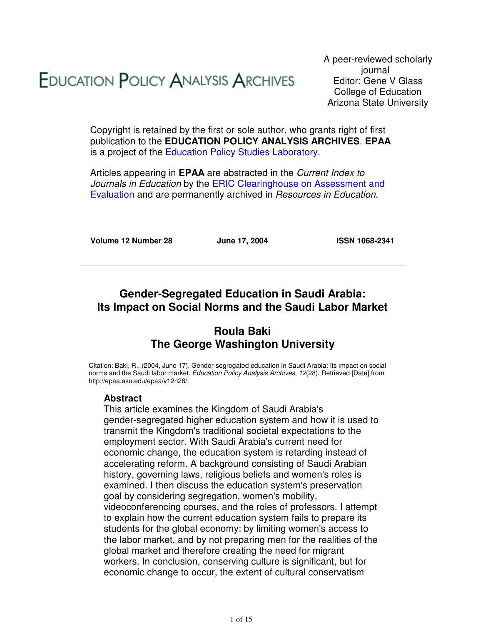# **EDUCATION POLICY ANALYSIS ARCHIVES**

A peer-reviewed scholarly journal Editor: Gene V Glass College of Education Arizona State University

Copyright is retained by the first or sole author, who grants right of first publication to the **EDUCATION POLICY ANALYSIS ARCHIVES**. **EPAA** is a project of the Education Policy Studies Laboratory.

Articles appearing in **EPAA** are abstracted in the Current Index to Journals in Education by the ERIC Clearinghouse on Assessment and Evaluation and are permanently archived in Resources in Education.

**Volume 12 Number 28 June 17, 2004 ISSN 1068-2341**

## **Gender-Segregated Education in Saudi Arabia: Its Impact on Social Norms and the Saudi Labor Market**

## **Roula Baki The George Washington University**

Citation: Baki, R., (2004, June 17). Gender-segregated education in Saudi Arabia: Its impact on social norms and the Saudi labor market. Education Policy Analysis Archives, 12(28). Retrieved [Date] from http://epaa.asu.edu/epaa/v12n28/.

#### **Abstract**

This article examines the Kingdom of Saudi Arabia's gender-segregated higher education system and how it is used to transmit the Kingdom's traditional societal expectations to the employment sector. With Saudi Arabia's current need for economic change, the education system is retarding instead of accelerating reform. A background consisting of Saudi Arabian history, governing laws, religious beliefs and women's roles is examined. I then discuss the education system's preservation goal by considering segregation, women's mobility, videoconferencing courses, and the roles of professors. I attempt to explain how the current education system fails to prepare its students for the global economy: by limiting women's access to the labor market, and by not preparing men for the realities of the global market and therefore creating the need for migrant workers. In conclusion, conserving culture is significant, but for economic change to occur, the extent of cultural conservatism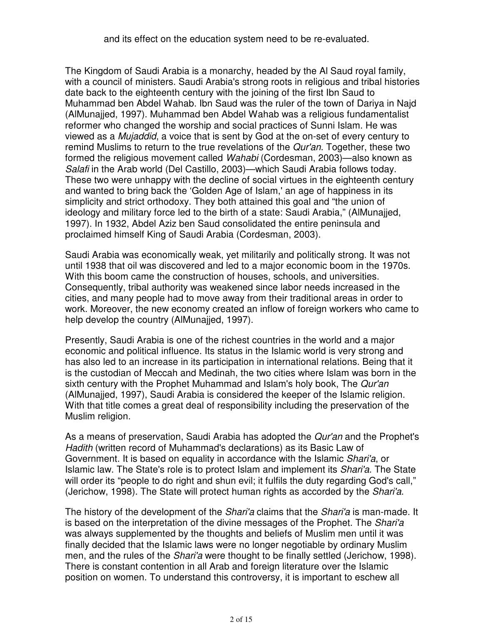The Kingdom of Saudi Arabia is a monarchy, headed by the Al Saud royal family, with a council of ministers. Saudi Arabia's strong roots in religious and tribal histories date back to the eighteenth century with the joining of the first Ibn Saud to Muhammad ben Abdel Wahab. Ibn Saud was the ruler of the town of Dariya in Najd (AlMunajjed, 1997). Muhammad ben Abdel Wahab was a religious fundamentalist reformer who changed the worship and social practices of Sunni Islam. He was viewed as a Mujaddid, a voice that is sent by God at the on-set of every century to remind Muslims to return to the true revelations of the Qur'an. Together, these two formed the religious movement called Wahabi (Cordesman, 2003)—also known as Salafi in the Arab world (Del Castillo, 2003)—which Saudi Arabia follows today. These two were unhappy with the decline of social virtues in the eighteenth century and wanted to bring back the 'Golden Age of Islam,' an age of happiness in its simplicity and strict orthodoxy. They both attained this goal and "the union of ideology and military force led to the birth of a state: Saudi Arabia," (AlMunajjed, 1997). In 1932, Abdel Aziz ben Saud consolidated the entire peninsula and proclaimed himself King of Saudi Arabia (Cordesman, 2003).

Saudi Arabia was economically weak, yet militarily and politically strong. It was not until 1938 that oil was discovered and led to a major economic boom in the 1970s. With this boom came the construction of houses, schools, and universities. Consequently, tribal authority was weakened since labor needs increased in the cities, and many people had to move away from their traditional areas in order to work. Moreover, the new economy created an inflow of foreign workers who came to help develop the country (AlMunajjed, 1997).

Presently, Saudi Arabia is one of the richest countries in the world and a major economic and political influence. Its status in the Islamic world is very strong and has also led to an increase in its participation in international relations. Being that it is the custodian of Meccah and Medinah, the two cities where Islam was born in the sixth century with the Prophet Muhammad and Islam's holy book, The Qur'an (AlMunajjed, 1997), Saudi Arabia is considered the keeper of the Islamic religion. With that title comes a great deal of responsibility including the preservation of the Muslim religion.

As a means of preservation, Saudi Arabia has adopted the *Qur'an* and the Prophet's Hadith (written record of Muhammad's declarations) as its Basic Law of Government. It is based on equality in accordance with the Islamic Shari'a, or Islamic law. The State's role is to protect Islam and implement its Shari'a. The State will order its "people to do right and shun evil; it fulfils the duty regarding God's call," (Jerichow, 1998). The State will protect human rights as accorded by the Shari'a.

The history of the development of the Shari'a claims that the Shari'a is man-made. It is based on the interpretation of the divine messages of the Prophet. The Shari'a was always supplemented by the thoughts and beliefs of Muslim men until it was finally decided that the Islamic laws were no longer negotiable by ordinary Muslim men, and the rules of the *Shari'a* were thought to be finally settled (Jerichow, 1998). There is constant contention in all Arab and foreign literature over the Islamic position on women. To understand this controversy, it is important to eschew all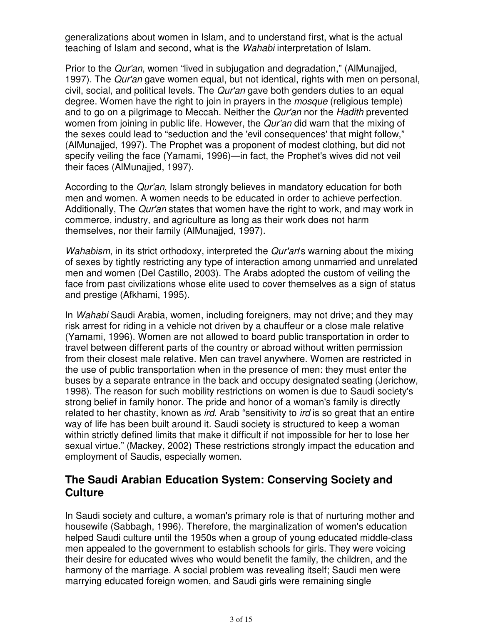generalizations about women in Islam, and to understand first, what is the actual teaching of Islam and second, what is the Wahabi interpretation of Islam.

Prior to the *Qur'an*, women "lived in subjugation and degradation," (AlMunajjed, 1997). The Qur'an gave women equal, but not identical, rights with men on personal, civil, social, and political levels. The Qur'an gave both genders duties to an equal degree. Women have the right to join in prayers in the mosque (religious temple) and to go on a pilgrimage to Meccah. Neither the *Qur'an* nor the Hadith prevented women from joining in public life. However, the Qur'an did warn that the mixing of the sexes could lead to "seduction and the 'evil consequences' that might follow," (AlMunajjed, 1997). The Prophet was a proponent of modest clothing, but did not specify veiling the face (Yamami, 1996)—in fact, the Prophet's wives did not veil their faces (AlMunajjed, 1997).

According to the Qur'an, Islam strongly believes in mandatory education for both men and women. A women needs to be educated in order to achieve perfection. Additionally, The Qur'an states that women have the right to work, and may work in commerce, industry, and agriculture as long as their work does not harm themselves, nor their family (AlMunajjed, 1997).

Wahabism, in its strict orthodoxy, interpreted the Qur'an's warning about the mixing of sexes by tightly restricting any type of interaction among unmarried and unrelated men and women (Del Castillo, 2003). The Arabs adopted the custom of veiling the face from past civilizations whose elite used to cover themselves as a sign of status and prestige (Afkhami, 1995).

In Wahabi Saudi Arabia, women, including foreigners, may not drive; and they may risk arrest for riding in a vehicle not driven by a chauffeur or a close male relative (Yamami, 1996). Women are not allowed to board public transportation in order to travel between different parts of the country or abroad without written permission from their closest male relative. Men can travel anywhere. Women are restricted in the use of public transportation when in the presence of men: they must enter the buses by a separate entrance in the back and occupy designated seating (Jerichow, 1998). The reason for such mobility restrictions on women is due to Saudi society's strong belief in family honor. The pride and honor of a woman's family is directly related to her chastity, known as *ird.* Arab "sensitivity to *ird* is so great that an entire way of life has been built around it. Saudi society is structured to keep a woman within strictly defined limits that make it difficult if not impossible for her to lose her sexual virtue." (Mackey, 2002) These restrictions strongly impact the education and employment of Saudis, especially women.

## **The Saudi Arabian Education System: Conserving Society and Culture**

In Saudi society and culture, a woman's primary role is that of nurturing mother and housewife (Sabbagh, 1996). Therefore, the marginalization of women's education helped Saudi culture until the 1950s when a group of young educated middle-class men appealed to the government to establish schools for girls. They were voicing their desire for educated wives who would benefit the family, the children, and the harmony of the marriage. A social problem was revealing itself; Saudi men were marrying educated foreign women, and Saudi girls were remaining single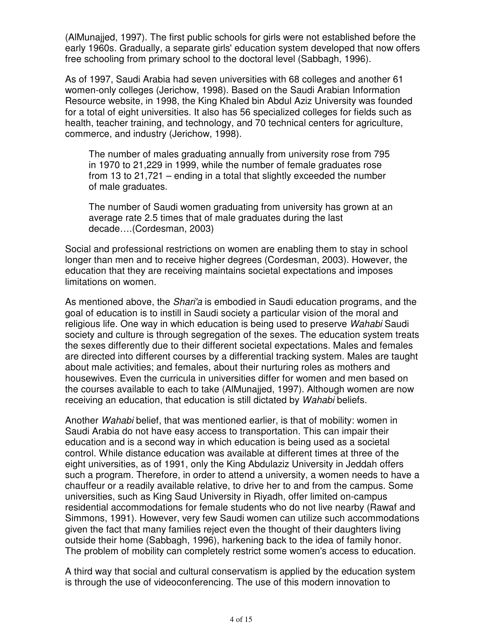(AlMunajjed, 1997). The first public schools for girls were not established before the early 1960s. Gradually, a separate girls' education system developed that now offers free schooling from primary school to the doctoral level (Sabbagh, 1996).

As of 1997, Saudi Arabia had seven universities with 68 colleges and another 61 women-only colleges (Jerichow, 1998). Based on the Saudi Arabian Information Resource website, in 1998, the King Khaled bin Abdul Aziz University was founded for a total of eight universities. It also has 56 specialized colleges for fields such as health, teacher training, and technology, and 70 technical centers for agriculture, commerce, and industry (Jerichow, 1998).

The number of males graduating annually from university rose from 795 in 1970 to 21,229 in 1999, while the number of female graduates rose from 13 to 21,721 – ending in a total that slightly exceeded the number of male graduates.

The number of Saudi women graduating from university has grown at an average rate 2.5 times that of male graduates during the last decade….(Cordesman, 2003)

Social and professional restrictions on women are enabling them to stay in school longer than men and to receive higher degrees (Cordesman, 2003). However, the education that they are receiving maintains societal expectations and imposes limitations on women.

As mentioned above, the *Shari'a* is embodied in Saudi education programs, and the goal of education is to instill in Saudi society a particular vision of the moral and religious life. One way in which education is being used to preserve Wahabi Saudi society and culture is through segregation of the sexes. The education system treats the sexes differently due to their different societal expectations. Males and females are directed into different courses by a differential tracking system. Males are taught about male activities; and females, about their nurturing roles as mothers and housewives. Even the curricula in universities differ for women and men based on the courses available to each to take (AlMunajjed, 1997). Although women are now receiving an education, that education is still dictated by Wahabi beliefs.

Another Wahabi belief, that was mentioned earlier, is that of mobility: women in Saudi Arabia do not have easy access to transportation. This can impair their education and is a second way in which education is being used as a societal control. While distance education was available at different times at three of the eight universities, as of 1991, only the King Abdulaziz University in Jeddah offers such a program. Therefore, in order to attend a university, a women needs to have a chauffeur or a readily available relative, to drive her to and from the campus. Some universities, such as King Saud University in Riyadh, offer limited on-campus residential accommodations for female students who do not live nearby (Rawaf and Simmons, 1991). However, very few Saudi women can utilize such accommodations given the fact that many families reject even the thought of their daughters living outside their home (Sabbagh, 1996), harkening back to the idea of family honor. The problem of mobility can completely restrict some women's access to education.

A third way that social and cultural conservatism is applied by the education system is through the use of videoconferencing. The use of this modern innovation to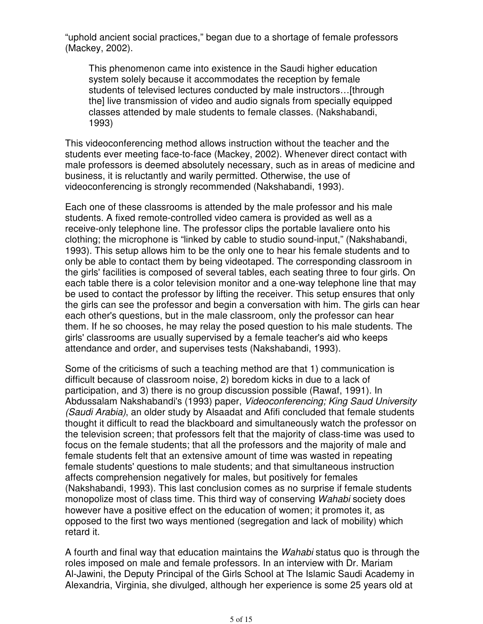"uphold ancient social practices," began due to a shortage of female professors (Mackey, 2002).

This phenomenon came into existence in the Saudi higher education system solely because it accommodates the reception by female students of televised lectures conducted by male instructors…[through the] live transmission of video and audio signals from specially equipped classes attended by male students to female classes. (Nakshabandi, 1993)

This videoconferencing method allows instruction without the teacher and the students ever meeting face-to-face (Mackey, 2002). Whenever direct contact with male professors is deemed absolutely necessary, such as in areas of medicine and business, it is reluctantly and warily permitted. Otherwise, the use of videoconferencing is strongly recommended (Nakshabandi, 1993).

Each one of these classrooms is attended by the male professor and his male students. A fixed remote-controlled video camera is provided as well as a receive-only telephone line. The professor clips the portable lavaliere onto his clothing; the microphone is "linked by cable to studio sound-input," (Nakshabandi, 1993). This setup allows him to be the only one to hear his female students and to only be able to contact them by being videotaped. The corresponding classroom in the girls' facilities is composed of several tables, each seating three to four girls. On each table there is a color television monitor and a one-way telephone line that may be used to contact the professor by lifting the receiver. This setup ensures that only the girls can see the professor and begin a conversation with him. The girls can hear each other's questions, but in the male classroom, only the professor can hear them. If he so chooses, he may relay the posed question to his male students. The girls' classrooms are usually supervised by a female teacher's aid who keeps attendance and order, and supervises tests (Nakshabandi, 1993).

Some of the criticisms of such a teaching method are that 1) communication is difficult because of classroom noise, 2) boredom kicks in due to a lack of participation, and 3) there is no group discussion possible (Rawaf, 1991). In Abdussalam Nakshabandi's (1993) paper, Videoconferencing; King Saud University (Saudi Arabia), an older study by Alsaadat and Afifi concluded that female students thought it difficult to read the blackboard and simultaneously watch the professor on the television screen; that professors felt that the majority of class-time was used to focus on the female students; that all the professors and the majority of male and female students felt that an extensive amount of time was wasted in repeating female students' questions to male students; and that simultaneous instruction affects comprehension negatively for males, but positively for females (Nakshabandi, 1993). This last conclusion comes as no surprise if female students monopolize most of class time. This third way of conserving Wahabi society does however have a positive effect on the education of women; it promotes it, as opposed to the first two ways mentioned (segregation and lack of mobility) which retard it.

A fourth and final way that education maintains the Wahabi status quo is through the roles imposed on male and female professors. In an interview with Dr. Mariam Al-Jawini, the Deputy Principal of the Girls School at The Islamic Saudi Academy in Alexandria, Virginia, she divulged, although her experience is some 25 years old at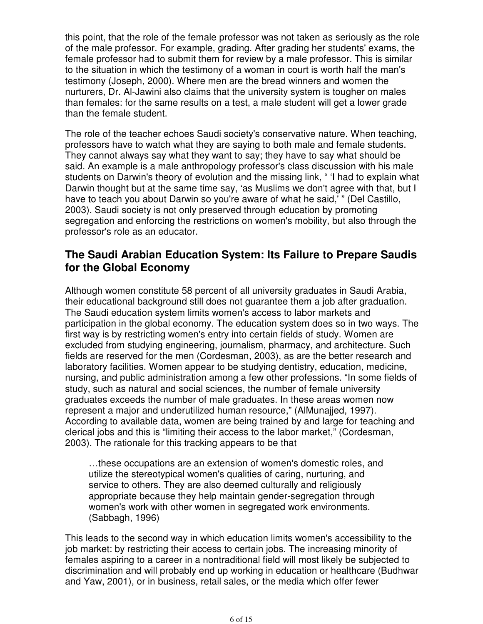this point, that the role of the female professor was not taken as seriously as the role of the male professor. For example, grading. After grading her students' exams, the female professor had to submit them for review by a male professor. This is similar to the situation in which the testimony of a woman in court is worth half the man's testimony (Joseph, 2000). Where men are the bread winners and women the nurturers, Dr. Al-Jawini also claims that the university system is tougher on males than females: for the same results on a test, a male student will get a lower grade than the female student.

The role of the teacher echoes Saudi society's conservative nature. When teaching, professors have to watch what they are saying to both male and female students. They cannot always say what they want to say; they have to say what should be said. An example is a male anthropology professor's class discussion with his male students on Darwin's theory of evolution and the missing link, " 'I had to explain what Darwin thought but at the same time say, 'as Muslims we don't agree with that, but I have to teach you about Darwin so you're aware of what he said,' " (Del Castillo, 2003). Saudi society is not only preserved through education by promoting segregation and enforcing the restrictions on women's mobility, but also through the professor's role as an educator.

## **The Saudi Arabian Education System: Its Failure to Prepare Saudis for the Global Economy**

Although women constitute 58 percent of all university graduates in Saudi Arabia, their educational background still does not guarantee them a job after graduation. The Saudi education system limits women's access to labor markets and participation in the global economy. The education system does so in two ways. The first way is by restricting women's entry into certain fields of study. Women are excluded from studying engineering, journalism, pharmacy, and architecture. Such fields are reserved for the men (Cordesman, 2003), as are the better research and laboratory facilities. Women appear to be studying dentistry, education, medicine, nursing, and public administration among a few other professions. "In some fields of study, such as natural and social sciences, the number of female university graduates exceeds the number of male graduates. In these areas women now represent a major and underutilized human resource," (AlMunajjed, 1997). According to available data, women are being trained by and large for teaching and clerical jobs and this is "limiting their access to the labor market," (Cordesman, 2003). The rationale for this tracking appears to be that

…these occupations are an extension of women's domestic roles, and utilize the stereotypical women's qualities of caring, nurturing, and service to others. They are also deemed culturally and religiously appropriate because they help maintain gender-segregation through women's work with other women in segregated work environments. (Sabbagh, 1996)

This leads to the second way in which education limits women's accessibility to the job market: by restricting their access to certain jobs. The increasing minority of females aspiring to a career in a nontraditional field will most likely be subjected to discrimination and will probably end up working in education or healthcare (Budhwar and Yaw, 2001), or in business, retail sales, or the media which offer fewer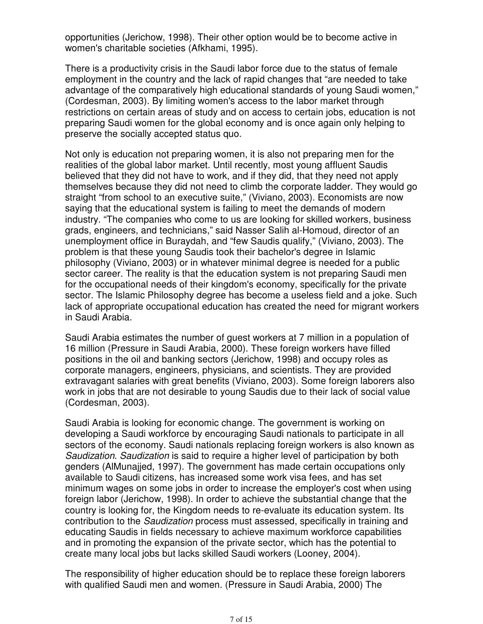opportunities (Jerichow, 1998). Their other option would be to become active in women's charitable societies (Afkhami, 1995).

There is a productivity crisis in the Saudi labor force due to the status of female employment in the country and the lack of rapid changes that "are needed to take advantage of the comparatively high educational standards of young Saudi women," (Cordesman, 2003). By limiting women's access to the labor market through restrictions on certain areas of study and on access to certain jobs, education is not preparing Saudi women for the global economy and is once again only helping to preserve the socially accepted status quo.

Not only is education not preparing women, it is also not preparing men for the realities of the global labor market. Until recently, most young affluent Saudis believed that they did not have to work, and if they did, that they need not apply themselves because they did not need to climb the corporate ladder. They would go straight "from school to an executive suite," (Viviano, 2003). Economists are now saying that the educational system is failing to meet the demands of modern industry. "The companies who come to us are looking for skilled workers, business grads, engineers, and technicians," said Nasser Salih al-Homoud, director of an unemployment office in Buraydah, and "few Saudis qualify," (Viviano, 2003). The problem is that these young Saudis took their bachelor's degree in Islamic philosophy (Viviano, 2003) or in whatever minimal degree is needed for a public sector career. The reality is that the education system is not preparing Saudi men for the occupational needs of their kingdom's economy, specifically for the private sector. The Islamic Philosophy degree has become a useless field and a joke. Such lack of appropriate occupational education has created the need for migrant workers in Saudi Arabia.

Saudi Arabia estimates the number of guest workers at 7 million in a population of 16 million (Pressure in Saudi Arabia, 2000). These foreign workers have filled positions in the oil and banking sectors (Jerichow, 1998) and occupy roles as corporate managers, engineers, physicians, and scientists. They are provided extravagant salaries with great benefits (Viviano, 2003). Some foreign laborers also work in jobs that are not desirable to young Saudis due to their lack of social value (Cordesman, 2003).

Saudi Arabia is looking for economic change. The government is working on developing a Saudi workforce by encouraging Saudi nationals to participate in all sectors of the economy. Saudi nationals replacing foreign workers is also known as Saudization. Saudization is said to require a higher level of participation by both genders (AlMunajjed, 1997). The government has made certain occupations only available to Saudi citizens, has increased some work visa fees, and has set minimum wages on some jobs in order to increase the employer's cost when using foreign labor (Jerichow, 1998). In order to achieve the substantial change that the country is looking for, the Kingdom needs to re-evaluate its education system. Its contribution to the Saudization process must assessed, specifically in training and educating Saudis in fields necessary to achieve maximum workforce capabilities and in promoting the expansion of the private sector, which has the potential to create many local jobs but lacks skilled Saudi workers (Looney, 2004).

The responsibility of higher education should be to replace these foreign laborers with qualified Saudi men and women. (Pressure in Saudi Arabia, 2000) The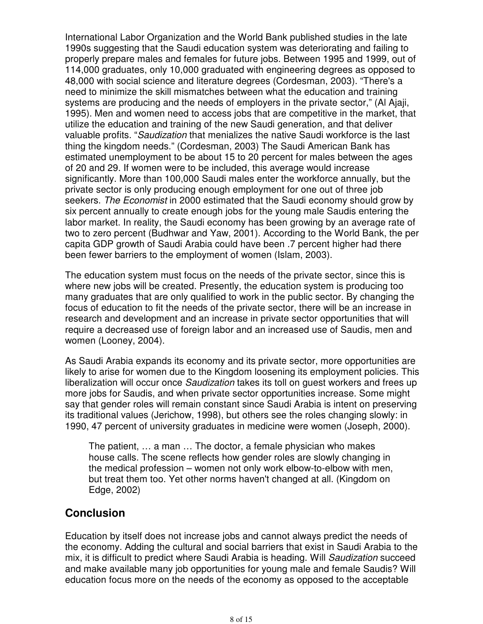International Labor Organization and the World Bank published studies in the late 1990s suggesting that the Saudi education system was deteriorating and failing to properly prepare males and females for future jobs. Between 1995 and 1999, out of 114,000 graduates, only 10,000 graduated with engineering degrees as opposed to 48,000 with social science and literature degrees (Cordesman, 2003). "There's a need to minimize the skill mismatches between what the education and training systems are producing and the needs of employers in the private sector," (Al Ajaji, 1995). Men and women need to access jobs that are competitive in the market, that utilize the education and training of the new Saudi generation, and that deliver valuable profits. "Saudization that menializes the native Saudi workforce is the last thing the kingdom needs." (Cordesman, 2003) The Saudi American Bank has estimated unemployment to be about 15 to 20 percent for males between the ages of 20 and 29. If women were to be included, this average would increase significantly. More than 100,000 Saudi males enter the workforce annually, but the private sector is only producing enough employment for one out of three job seekers. The Economist in 2000 estimated that the Saudi economy should grow by six percent annually to create enough jobs for the young male Saudis entering the labor market. In reality, the Saudi economy has been growing by an average rate of two to zero percent (Budhwar and Yaw, 2001). According to the World Bank, the per capita GDP growth of Saudi Arabia could have been .7 percent higher had there been fewer barriers to the employment of women (Islam, 2003).

The education system must focus on the needs of the private sector, since this is where new jobs will be created. Presently, the education system is producing too many graduates that are only qualified to work in the public sector. By changing the focus of education to fit the needs of the private sector, there will be an increase in research and development and an increase in private sector opportunities that will require a decreased use of foreign labor and an increased use of Saudis, men and women (Looney, 2004).

As Saudi Arabia expands its economy and its private sector, more opportunities are likely to arise for women due to the Kingdom loosening its employment policies. This liberalization will occur once *Saudization* takes its toll on quest workers and frees up more jobs for Saudis, and when private sector opportunities increase. Some might say that gender roles will remain constant since Saudi Arabia is intent on preserving its traditional values (Jerichow, 1998), but others see the roles changing slowly: in 1990, 47 percent of university graduates in medicine were women (Joseph, 2000).

The patient, … a man … The doctor, a female physician who makes house calls. The scene reflects how gender roles are slowly changing in the medical profession – women not only work elbow-to-elbow with men, but treat them too. Yet other norms haven't changed at all. (Kingdom on Edge, 2002)

## **Conclusion**

Education by itself does not increase jobs and cannot always predict the needs of the economy. Adding the cultural and social barriers that exist in Saudi Arabia to the mix, it is difficult to predict where Saudi Arabia is heading. Will Saudization succeed and make available many job opportunities for young male and female Saudis? Will education focus more on the needs of the economy as opposed to the acceptable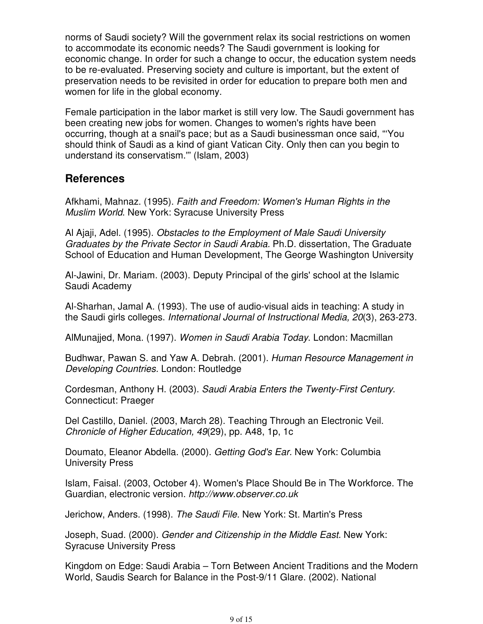norms of Saudi society? Will the government relax its social restrictions on women to accommodate its economic needs? The Saudi government is looking for economic change. In order for such a change to occur, the education system needs to be re-evaluated. Preserving society and culture is important, but the extent of preservation needs to be revisited in order for education to prepare both men and women for life in the global economy.

Female participation in the labor market is still very low. The Saudi government has been creating new jobs for women. Changes to women's rights have been occurring, though at a snail's pace; but as a Saudi businessman once said, "'You should think of Saudi as a kind of giant Vatican City. Only then can you begin to understand its conservatism.'" (Islam, 2003)

## **References**

Afkhami, Mahnaz. (1995). Faith and Freedom: Women's Human Rights in the Muslim World. New York: Syracuse University Press

Al Ajaji, Adel. (1995). Obstacles to the Employment of Male Saudi University Graduates by the Private Sector in Saudi Arabia. Ph.D. dissertation, The Graduate School of Education and Human Development, The George Washington University

Al-Jawini, Dr. Mariam. (2003). Deputy Principal of the girls' school at the Islamic Saudi Academy

Al-Sharhan, Jamal A. (1993). The use of audio-visual aids in teaching: A study in the Saudi girls colleges. International Journal of Instructional Media, 20(3), 263-273.

AlMunajjed, Mona. (1997). Women in Saudi Arabia Today. London: Macmillan

Budhwar, Pawan S. and Yaw A. Debrah. (2001). Human Resource Management in Developing Countries. London: Routledge

Cordesman, Anthony H. (2003). Saudi Arabia Enters the Twenty-First Century. Connecticut: Praeger

Del Castillo, Daniel. (2003, March 28). Teaching Through an Electronic Veil. Chronicle of Higher Education, 49(29), pp. A48, 1p, 1c

Doumato, Eleanor Abdella. (2000). Getting God's Ear. New York: Columbia University Press

Islam, Faisal. (2003, October 4). Women's Place Should Be in The Workforce. The Guardian, electronic version. http://www.observer.co.uk

Jerichow, Anders. (1998). The Saudi File. New York: St. Martin's Press

Joseph, Suad. (2000). Gender and Citizenship in the Middle East. New York: Syracuse University Press

Kingdom on Edge: Saudi Arabia – Torn Between Ancient Traditions and the Modern World, Saudis Search for Balance in the Post-9/11 Glare. (2002). National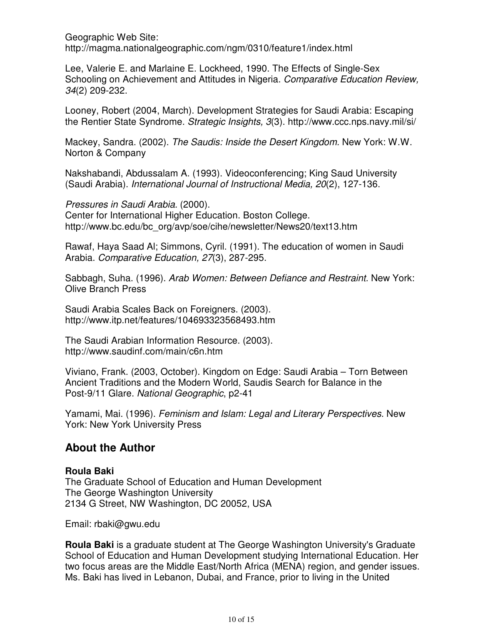Geographic Web Site:

http://magma.nationalgeographic.com/ngm/0310/feature1/index.html

Lee, Valerie E. and Marlaine E. Lockheed, 1990. The Effects of Single-Sex Schooling on Achievement and Attitudes in Nigeria. Comparative Education Review, 34(2) 209-232.

Looney, Robert (2004, March). Development Strategies for Saudi Arabia: Escaping the Rentier State Syndrome. Strategic Insights, 3(3). http://www.ccc.nps.navy.mil/si/

Mackey, Sandra. (2002). The Saudis: Inside the Desert Kingdom. New York: W.W. Norton & Company

Nakshabandi, Abdussalam A. (1993). Videoconferencing; King Saud University (Saudi Arabia). International Journal of Instructional Media, 20(2), 127-136.

Pressures in Saudi Arabia. (2000). Center for International Higher Education. Boston College. http://www.bc.edu/bc\_org/avp/soe/cihe/newsletter/News20/text13.htm

Rawaf, Haya Saad Al; Simmons, Cyril. (1991). The education of women in Saudi Arabia. Comparative Education, 27(3), 287-295.

Sabbagh, Suha. (1996). Arab Women: Between Defiance and Restraint. New York: Olive Branch Press

Saudi Arabia Scales Back on Foreigners. (2003). http://www.itp.net/features/104693323568493.htm

The Saudi Arabian Information Resource. (2003). http://www.saudinf.com/main/c6n.htm

Viviano, Frank. (2003, October). Kingdom on Edge: Saudi Arabia – Torn Between Ancient Traditions and the Modern World, Saudis Search for Balance in the Post-9/11 Glare. National Geographic, p2-41

Yamami, Mai. (1996). Feminism and Islam: Legal and Literary Perspectives. New York: New York University Press

## **About the Author**

## **Roula Baki**

The Graduate School of Education and Human Development The George Washington University 2134 G Street, NW Washington, DC 20052, USA

Email: rbaki@gwu.edu

**Roula Baki** is a graduate student at The George Washington University's Graduate School of Education and Human Development studying International Education. Her two focus areas are the Middle East/North Africa (MENA) region, and gender issues. Ms. Baki has lived in Lebanon, Dubai, and France, prior to living in the United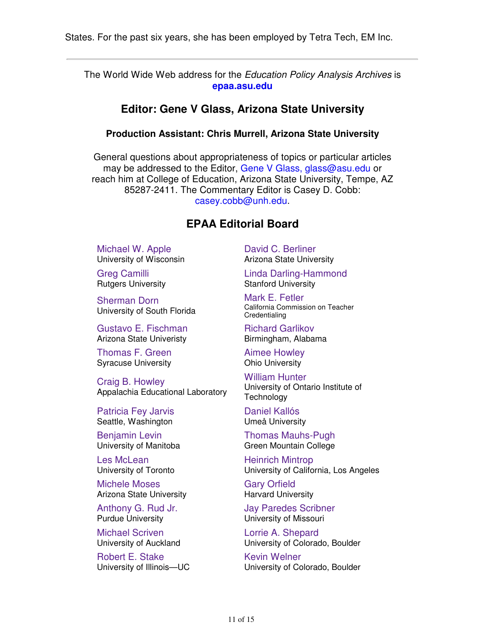The World Wide Web address for the Education Policy Analysis Archives is **epaa.asu.edu**

#### **Editor: Gene V Glass, Arizona State University**

#### **Production Assistant: Chris Murrell, Arizona State University**

General questions about appropriateness of topics or particular articles may be addressed to the Editor, Gene V Glass, glass@asu.edu or reach him at College of Education, Arizona State University, Tempe, AZ 85287-2411. The Commentary Editor is Casey D. Cobb: casey.cobb@unh.edu.

## **EPAA Editorial Board**

Michael W. Apple University of Wisconsin

Greg Camilli Rutgers University

Sherman Dorn University of South Florida

Gustavo E. Fischman Arizona State Univeristy

Thomas F. Green Syracuse University

Craig B. Howley Appalachia Educational Laboratory

Patricia Fey Jarvis Seattle, Washington

Benjamin Levin University of Manitoba

Les McLean University of Toronto

Michele Moses Arizona State University

Anthony G. Rud Jr. Purdue University

Michael Scriven University of Auckland

Robert E. Stake University of Illinois—UC David C. Berliner Arizona State University

Linda Darling-Hammond Stanford University

Mark E. Fetler California Commission on Teacher Credentialing

Richard Garlikov Birmingham, Alabama

Aimee Howley Ohio University

William Hunter University of Ontario Institute of **Technology** 

Daniel Kallós Umeå University

Thomas Mauhs-Pugh Green Mountain College

Heinrich Mintrop University of California, Los Angeles

Gary Orfield Harvard University

Jay Paredes Scribner University of Missouri

Lorrie A. Shepard University of Colorado, Boulder

Kevin Welner University of Colorado, Boulder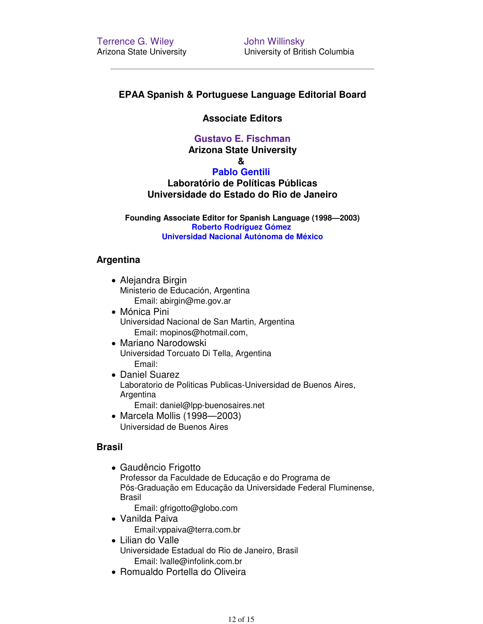John Willinsky University of British Columbia

#### **EPAA Spanish & Portuguese Language Editorial Board**

#### **Associate Editors**

#### **Gustavo E. Fischman**

**Arizona State University**

#### **&**

#### **Pablo Gentili**

**Laboratório de Políticas Públicas Universidade do Estado do Rio de Janeiro**

**Founding Associate Editor for Spanish Language (1998—2003) Roberto Rodríguez Gómez Universidad Nacional Autónoma de México**

#### **Argentina**

- Alejandra Birgin Ministerio de Educación, Argentina Email: abirgin@me.gov.ar
- Mónica Pini Universidad Nacional de San Martin, Argentina Email: mopinos@hotmail.com,
- Mariano Narodowski Universidad Torcuato Di Tella, Argentina Email:
- Daniel Suarez Laboratorio de Politicas Publicas-Universidad de Buenos Aires, Argentina
	- Email: daniel@lpp-buenosaires.net
- Marcela Mollis (1998—2003) Universidad de Buenos Aires

#### **Brasil**

Gaudêncio Frigotto Professor da Faculdade de Educação e do Programa de Pós-Graduação em Educação da Universidade Federal Fluminense, Brasil

Email: gfrigotto@globo.com

- Vanilda Paiva Email:vppaiva@terra.com.br
- Lilian do Valle Universidade Estadual do Rio de Janeiro, Brasil Email: lvalle@infolink.com.br
- Romualdo Portella do Oliveira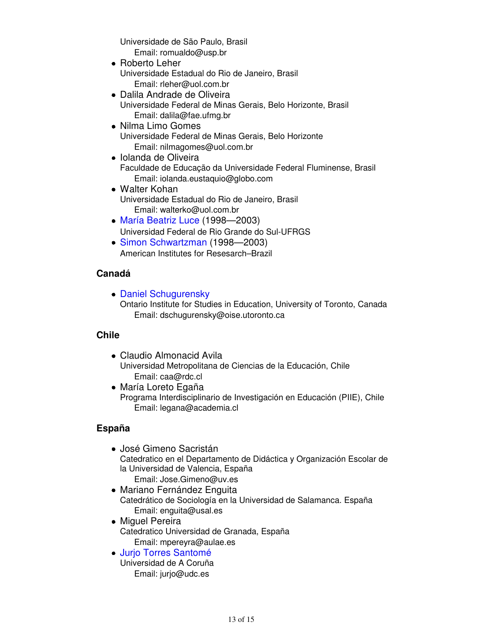Universidade de São Paulo, Brasil Email: romualdo@usp.br

- Roberto Leher Universidade Estadual do Rio de Janeiro, Brasil Email: rleher@uol.com.br
- Dalila Andrade de Oliveira Universidade Federal de Minas Gerais, Belo Horizonte, Brasil Email: dalila@fae.ufmg.br
- Nilma Limo Gomes Universidade Federal de Minas Gerais, Belo Horizonte Email: nilmagomes@uol.com.br
- Iolanda de Oliveira Faculdade de Educação da Universidade Federal Fluminense, Brasil Email: iolanda.eustaquio@globo.com
- Walter Kohan Universidade Estadual do Rio de Janeiro, Brasil Email: walterko@uol.com.br
- María Beatriz Luce (1998—2003) Universidad Federal de Rio Grande do Sul-UFRGS
- Simon Schwartzman (1998—2003) American Institutes for Resesarch–Brazil

#### **Canadá**

Daniel Schugurensky Ontario Institute for Studies in Education, University of Toronto, Canada Email: dschugurensky@oise.utoronto.ca

## **Chile**

- Claudio Almonacid Avila Universidad Metropolitana de Ciencias de la Educación, Chile Email: caa@rdc.cl
- María Loreto Egaña Programa Interdisciplinario de Investigación en Educación (PIIE), Chile Email: legana@academia.cl

## **España**

- José Gimeno Sacristán Catedratico en el Departamento de Didáctica y Organización Escolar de la Universidad de Valencia, España Email: Jose.Gimeno@uv.es
- Mariano Fernández Enguita Catedrático de Sociología en la Universidad de Salamanca. España Email: enguita@usal.es
- Miguel Pereira Catedratico Universidad de Granada, España Email: mpereyra@aulae.es
- Jurio Torres Santomé Universidad de A Coruña Email: jurjo@udc.es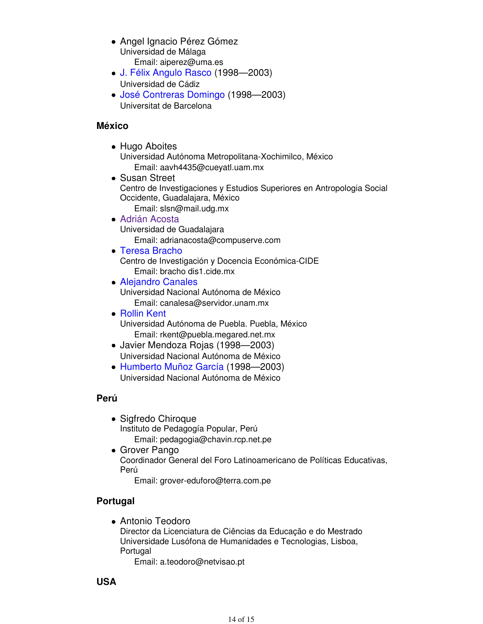- Angel Ignacio Pérez Gómez Universidad de Málaga Email: aiperez@uma.es
- J. Félix Angulo Rasco (1998—2003) Universidad de Cádiz
- José Contreras Domingo (1998—2003) Universitat de Barcelona

#### **México**

- Hugo Aboites Universidad Autónoma Metropolitana-Xochimilco, México Email: aavh4435@cueyatl.uam.mx
- Susan Street Centro de Investigaciones y Estudios Superiores en Antropologia Social Occidente, Guadalajara, México Email: slsn@mail.udg.mx
- Adrián Acosta Universidad de Guadalajara Email: adrianacosta@compuserve.com
- Teresa Bracho

Centro de Investigación y Docencia Económica-CIDE Email: bracho dis1.cide.mx

- Alejandro Canales Universidad Nacional Autónoma de México Email: canalesa@servidor.unam.mx
- Rollin Kent Universidad Autónoma de Puebla. Puebla, México Email: rkent@puebla.megared.net.mx
- Javier Mendoza Rojas (1998—2003) Universidad Nacional Autónoma de México
- Humberto Muñoz García (1998—2003) Universidad Nacional Autónoma de México

#### **Perú**

- Sigfredo Chiroque Instituto de Pedagogía Popular, Perú Email: pedagogia@chavin.rcp.net.pe
- Grover Pango Coordinador General del Foro Latinoamericano de Políticas Educativas, Perú

Email: grover-eduforo@terra.com.pe

## **Portugal**

Antonio Teodoro Director da Licenciatura de Ciências da Educação e do Mestrado Universidade Lusófona de Humanidades e Tecnologias, Lisboa, Portugal

Email: a.teodoro@netvisao.pt

**USA**